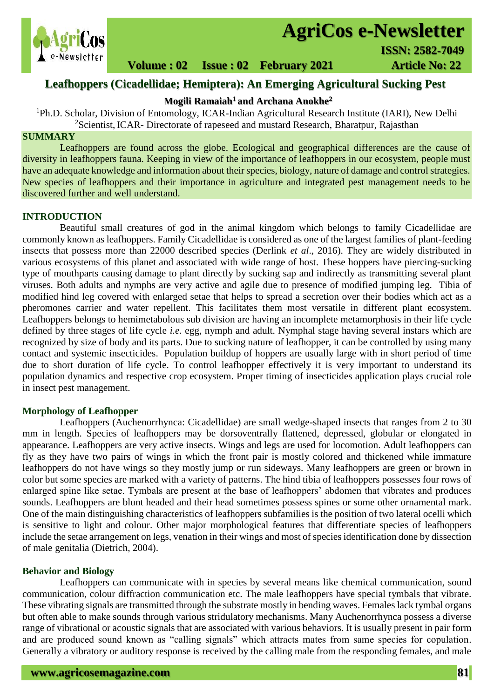

# **AgriCos e-Newsletter**

# **Volume : 02 Issue : 02 February 2021 4rticle No: 22**

# **Leafhoppers (Cicadellidae; Hemiptera): An Emerging Agricultural Sucking Pest**

# **Mogili Ramaiah<sup>1</sup>and Archana Anokhe<sup>2</sup>**

<sup>1</sup>Ph.D. Scholar, Division of Entomology, ICAR-Indian Agricultural Research Institute (IARI), New Delhi <sup>2</sup>Scientist, ICAR- Directorate of rapeseed and mustard Research, Bharatpur, Rajasthan

## **SUMMARY**

 Leafhoppers are found across the globe. Ecological and geographical differences are the cause of diversity in leafhoppers fauna. Keeping in view of the importance of leafhoppers in our ecosystem, people must have an adequate knowledge and information about their species, biology, nature of damage and control strategies. New species of leafhoppers and their importance in agriculture and integrated pest management needs to be discovered further and well understand.

#### **INTRODUCTION**

Beautiful small creatures of god in the animal kingdom which belongs to family Cicadellidae are commonly known as leafhoppers. Family Cicadellidae is considered as one of the largest families of plant-feeding insects that possess more than 22000 described species (Derlink *et al*., 2016). They are widely distributed in various ecosystems of this planet and associated with wide range of host. These hoppers have piercing-sucking type of mouthparts causing damage to plant directly by sucking sap and indirectly as transmitting several plant viruses. Both adults and nymphs are very active and agile due to presence of modified jumping leg. Tibia of modified hind leg covered with enlarged setae that helps to spread a secretion over their bodies which act as a pheromones carrier and water repellent. This facilitates them most versatile in different plant ecosystem. Leafhoppers belongs to hemimetabolous sub division are having an incomplete metamorphosis in their life cycle defined by three stages of life cycle *i.e.* egg, nymph and adult. Nymphal stage having several instars which are recognized by size of body and its parts. Due to sucking nature of leafhopper, it can be controlled by using many contact and systemic insecticides. Population buildup of hoppers are usually large with in short period of time due to short duration of life cycle. To control leafhopper effectively it is very important to understand its population dynamics and respective crop ecosystem. Proper timing of insecticides application plays crucial role in insect pest management.

### **Morphology of Leafhopper**

Leafhoppers (Auchenorrhynca: Cicadellidae) are small wedge-shaped insects that ranges from 2 to 30 mm in length. Species of leafhoppers may be dorsoventrally flattened, depressed, globular or elongated in appearance. Leafhoppers are very active insects. Wings and legs are used for locomotion. Adult leafhoppers can fly as they have two pairs of wings in which the front pair is mostly colored and thickened while immature leafhoppers do not have wings so they mostly jump or run sideways. Many leafhoppers are green or brown in color but some species are marked with a variety of patterns. The hind tibia of leafhoppers possesses four rows of enlarged spine like setae. Tymbals are present at the base of leafhoppers' abdomen that vibrates and produces sounds. Leafhoppers are blunt headed and their head sometimes possess spines or some other ornamental mark. One of the main distinguishing characteristics of leafhoppers subfamilies is the position of two lateral ocelli which is sensitive to light and colour. Other major morphological features that differentiate species of leafhoppers include the setae arrangement on legs, venation in their wings and most of species identification done by dissection of male genitalia (Dietrich, 2004).

#### **Behavior and Biology**

Leafhoppers can communicate with in species by several means like chemical communication, sound communication, colour diffraction communication etc. The male leafhoppers have special tymbals that vibrate. These vibrating signals are transmitted through the substrate mostly in bending waves. Females lack tymbal organs but often able to make sounds through various stridulatory mechanisms. Many Auchenorrhynca possess a diverse range of vibrational or acoustic signals that are associated with various behaviors. It is usually present in pair form and are produced sound known as "calling signals" which attracts mates from same species for copulation. Generally a vibratory or auditory response is received by the calling male from the responding females, and male